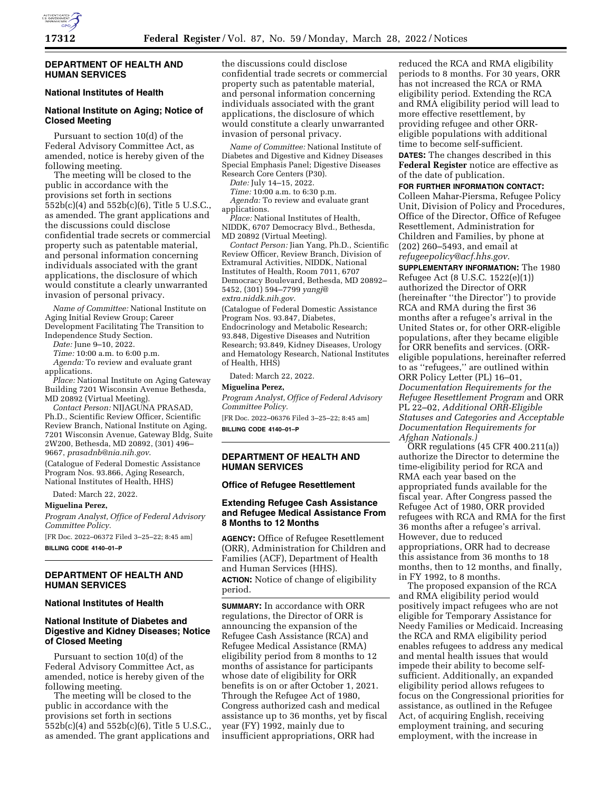

## **DEPARTMENT OF HEALTH AND HUMAN SERVICES**

# **National Institutes of Health**

# **National Institute on Aging; Notice of Closed Meeting**

Pursuant to section 10(d) of the Federal Advisory Committee Act, as amended, notice is hereby given of the following meeting.

The meeting will be closed to the public in accordance with the provisions set forth in sections 552b(c)(4) and 552b(c)(6), Title 5 U.S.C., as amended. The grant applications and the discussions could disclose confidential trade secrets or commercial property such as patentable material, and personal information concerning individuals associated with the grant applications, the disclosure of which would constitute a clearly unwarranted invasion of personal privacy.

*Name of Committee:* National Institute on Aging Initial Review Group; Career Development Facilitating The Transition to Independence Study Section.

*Date:* June 9–10, 2022.

*Time:* 10:00 a.m. to 6:00 p.m.

*Agenda:* To review and evaluate grant applications.

*Place:* National Institute on Aging Gateway Building 7201 Wisconsin Avenue Bethesda, MD 20892 (Virtual Meeting).

*Contact Person:* NIJAGUNA PRASAD, Ph.D., Scientific Review Officer, Scientific Review Branch, National Institute on Aging, 7201 Wisconsin Avenue, Gateway Bldg, Suite 2W200, Bethesda, MD 20892, (301) 496– 9667, *[prasadnb@nia.nih.gov](mailto:prasadnb@nia.nih.gov)*.

(Catalogue of Federal Domestic Assistance Program Nos. 93.866, Aging Research, National Institutes of Health, HHS)

Dated: March 22, 2022.

**Miguelina Perez,** 

*Program Analyst, Office of Federal Advisory Committee Policy.* 

[FR Doc. 2022–06372 Filed 3–25–22; 8:45 am] **BILLING CODE 4140–01–P** 

### **DEPARTMENT OF HEALTH AND HUMAN SERVICES**

#### **National Institutes of Health**

## **National Institute of Diabetes and Digestive and Kidney Diseases; Notice of Closed Meeting**

Pursuant to section 10(d) of the Federal Advisory Committee Act, as amended, notice is hereby given of the following meeting.

The meeting will be closed to the public in accordance with the provisions set forth in sections 552b(c)(4) and 552b(c)(6), Title 5 U.S.C., as amended. The grant applications and

the discussions could disclose confidential trade secrets or commercial property such as patentable material, and personal information concerning individuals associated with the grant applications, the disclosure of which would constitute a clearly unwarranted invasion of personal privacy.

*Name of Committee:* National Institute of Diabetes and Digestive and Kidney Diseases Special Emphasis Panel; Digestive Diseases Research Core Centers (P30).

*Date:* July 14–15, 2022.

*Time:* 10:00 a.m. to 6:30 p.m. *Agenda:* To review and evaluate grant applications.

*Place:* National Institutes of Health, NIDDK, 6707 Democracy Blvd., Bethesda, MD 20892 (Virtual Meeting).

*Contact Person:* Jian Yang, Ph.D., Scientific Review Officer, Review Branch, Division of Extramural Activities, NIDDK, National Institutes of Health, Room 7011, 6707 Democracy Boulevard, Bethesda, MD 20892– 5452, (301) 594–7799 *[yangj@](mailto:yangj@extra.niddk.nih.gov) [extra.niddk.nih.gov](mailto:yangj@extra.niddk.nih.gov)*.

(Catalogue of Federal Domestic Assistance Program Nos. 93.847, Diabetes, Endocrinology and Metabolic Research; 93.848, Digestive Diseases and Nutrition Research; 93.849, Kidney Diseases, Urology and Hematology Research, National Institutes of Health, HHS)

Dated: March 22, 2022.

#### **Miguelina Perez,**

*Program Analyst, Office of Federal Advisory Committee Policy.* 

[FR Doc. 2022–06376 Filed 3–25–22; 8:45 am] **BILLING CODE 4140–01–P** 

# **DEPARTMENT OF HEALTH AND HUMAN SERVICES**

#### **Office of Refugee Resettlement**

#### **Extending Refugee Cash Assistance and Refugee Medical Assistance From 8 Months to 12 Months**

**AGENCY:** Office of Refugee Resettlement (ORR), Administration for Children and Families (ACF), Department of Health and Human Services (HHS). **ACTION:** Notice of change of eligibility period.

**SUMMARY:** In accordance with ORR regulations, the Director of ORR is announcing the expansion of the Refugee Cash Assistance (RCA) and Refugee Medical Assistance (RMA) eligibility period from 8 months to 12 months of assistance for participants whose date of eligibility for ORR benefits is on or after October 1, 2021. Through the Refugee Act of 1980, Congress authorized cash and medical assistance up to 36 months, yet by fiscal year (FY) 1992, mainly due to insufficient appropriations, ORR had

reduced the RCA and RMA eligibility periods to 8 months. For 30 years, ORR has not increased the RCA or RMA eligibility period. Extending the RCA and RMA eligibility period will lead to more effective resettlement, by providing refugee and other ORReligible populations with additional time to become self-sufficient.

**DATES:** The changes described in this **Federal Register** notice are effective as of the date of publication.

**FOR FURTHER INFORMATION CONTACT:**  Colleen Mahar-Piersma, Refugee Policy Unit, Division of Policy and Procedures, Office of the Director, Office of Refugee Resettlement, Administration for Children and Families, by phone at (202) 260–5493, and email at *[refugeepolicy@acf.hhs.gov.](mailto:refugeepolicy@acf.hhs.gov)* 

**SUPPLEMENTARY INFORMATION:** The 1980 Refugee Act (8 U.S.C. 1522(e)(1)) authorized the Director of ORR (hereinafter ''the Director'') to provide RCA and RMA during the first 36 months after a refugee's arrival in the United States or, for other ORR-eligible populations, after they became eligible for ORR benefits and services. (ORReligible populations, hereinafter referred to as ''refugees,'' are outlined within ORR Policy Letter (PL) 16–01, *Documentation Requirements for the Refugee Resettlement Program* and ORR PL 22–02, *Additional ORR-Eligible Statuses and Categories and Acceptable Documentation Requirements for Afghan Nationals.)* 

ORR regulations (45 CFR 400.211(a)) authorize the Director to determine the time-eligibility period for RCA and RMA each year based on the appropriated funds available for the fiscal year. After Congress passed the Refugee Act of 1980, ORR provided refugees with RCA and RMA for the first 36 months after a refugee's arrival. However, due to reduced appropriations, ORR had to decrease this assistance from 36 months to 18 months, then to 12 months, and finally, in FY 1992, to 8 months.

The proposed expansion of the RCA and RMA eligibility period would positively impact refugees who are not eligible for Temporary Assistance for Needy Families or Medicaid. Increasing the RCA and RMA eligibility period enables refugees to address any medical and mental health issues that would impede their ability to become selfsufficient. Additionally, an expanded eligibility period allows refugees to focus on the Congressional priorities for assistance, as outlined in the Refugee Act, of acquiring English, receiving employment training, and securing employment, with the increase in